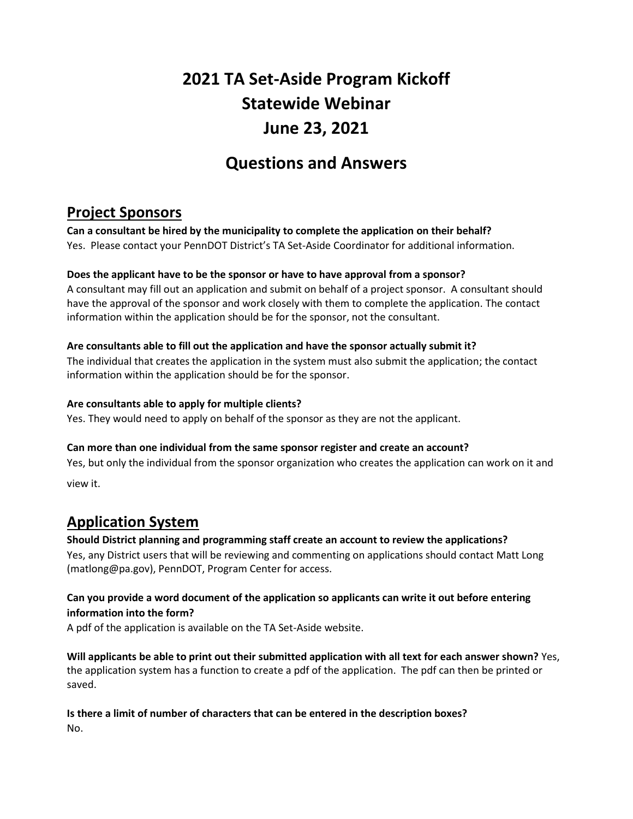# **2021 TA Set-Aside Program Kickoff Statewide Webinar June 23, 2021**

## **Questions and Answers**

### **Project Sponsors**

**Can a consultant be hired by the municipality to complete the application on their behalf?** Yes. Please contact your PennDOT District's TA Set-Aside Coordinator for additional information.

#### **Does the applicant have to be the sponsor or have to have approval from a sponsor?**

A consultant may fill out an application and submit on behalf of a project sponsor. A consultant should have the approval of the sponsor and work closely with them to complete the application. The contact information within the application should be for the sponsor, not the consultant.

#### **Are consultants able to fill out the application and have the sponsor actually submit it?**

The individual that creates the application in the system must also submit the application; the contact information within the application should be for the sponsor.

#### **Are consultants able to apply for multiple clients?**

Yes. They would need to apply on behalf of the sponsor as they are not the applicant.

#### **Can more than one individual from the same sponsor register and create an account?**

Yes, but only the individual from the sponsor organization who creates the application can work on it and

view it.

### **Application System**

**Should District planning and programming staff create an account to review the applications?**  Yes, any District users that will be reviewing and commenting on applications should contact Matt Long (matlong@pa.gov), PennDOT, Program Center for access.

#### **Can you provide a word document of the application so applicants can write it out before entering information into the form?**

A pdf of the application is available on the TA Set-Aside website.

**Will applicants be able to print out their submitted application with all text for each answer shown?** Yes, the application system has a function to create a pdf of the application. The pdf can then be printed or saved.

# **Is there a limit of number of characters that can be entered in the description boxes?**

No.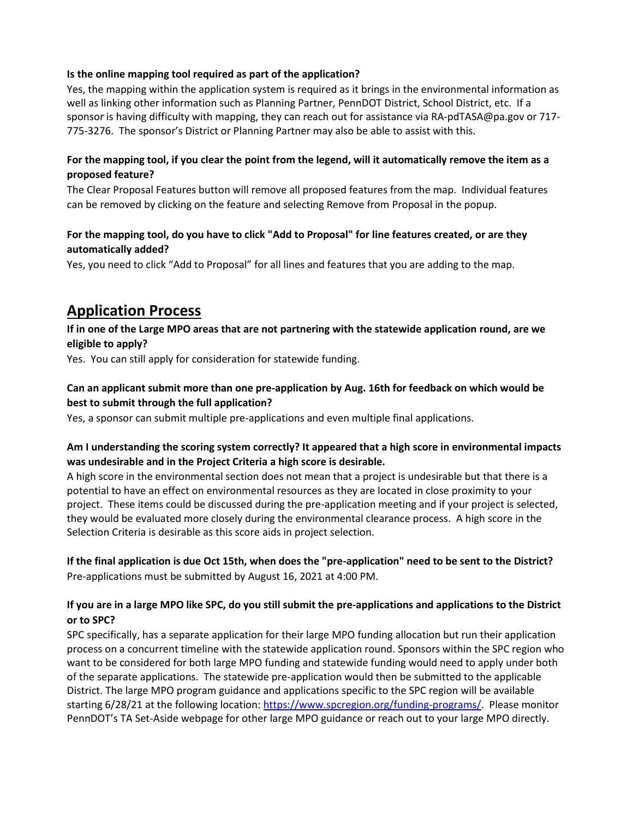#### **Is the online mapping tool required as part of the application?**

Yes, the mapping within the application system is required as it brings in the environmental information as well as linking other information such as Planning Partner, PennDOT District, School District, etc. If a sponsor is having difficulty with mapping, they can reach out for assistance via RA-pdTASA@pa.gov or 717- 775-3276. The sponsor's District or Planning Partner may also be able to assist with this.

#### **For the mapping tool, if you clear the point from the legend, will it automatically remove the item as a proposed feature?**

The Clear Proposal Features button will remove all proposed features from the map. Individual features can be removed by clicking on the feature and selecting Remove from Proposal in the popup.

#### **For the mapping tool, do you have to click "Add to Proposal" for line features created, or are they automatically added?**

Yes, you need to click "Add to Proposal" for all lines and features that you are adding to the map.

### **Application Process**

**If in one of the Large MPO areas that are not partnering with the statewide application round, are we eligible to apply?**

Yes. You can still apply for consideration for statewide funding.

#### **Can an applicant submit more than one pre-application by Aug. 16th for feedback on which would be best to submit through the full application?**

Yes, a sponsor can submit multiple pre-applications and even multiple final applications.

#### **Am I understanding the scoring system correctly? It appeared that a high score in environmental impacts was undesirable and in the Project Criteria a high score is desirable.**

A high score in the environmental section does not mean that a project is undesirable but that there is a potential to have an effect on environmental resources as they are located in close proximity to your project. These items could be discussed during the pre-application meeting and if your project is selected, they would be evaluated more closely during the environmental clearance process. A high score in the Selection Criteria is desirable as this score aids in project selection.

#### **If the final application is due Oct 15th, when does the "pre-application" need to be sent to the District?** Pre-applications must be submitted by August 16, 2021 at 4:00 PM.

#### **If you are in a large MPO like SPC, do you still submit the pre-applications and applications to the District or to SPC?**

SPC specifically, has a separate application for their large MPO funding allocation but run their application process on a concurrent timeline with the statewide application round. Sponsors within the SPC region who want to be considered for both large MPO funding and statewide funding would need to apply under both of the separate applications. The statewide pre-application would then be submitted to the applicable District. The large MPO program guidance and applications specific to the SPC region will be available starting 6/28/21 at the following location[: https://www.spcregion.org/funding-programs/.](https://www.spcregion.org/funding-programs/) Please monitor PennDOT's TA Set-Aside webpage for other large MPO guidance or reach out to your large MPO directly.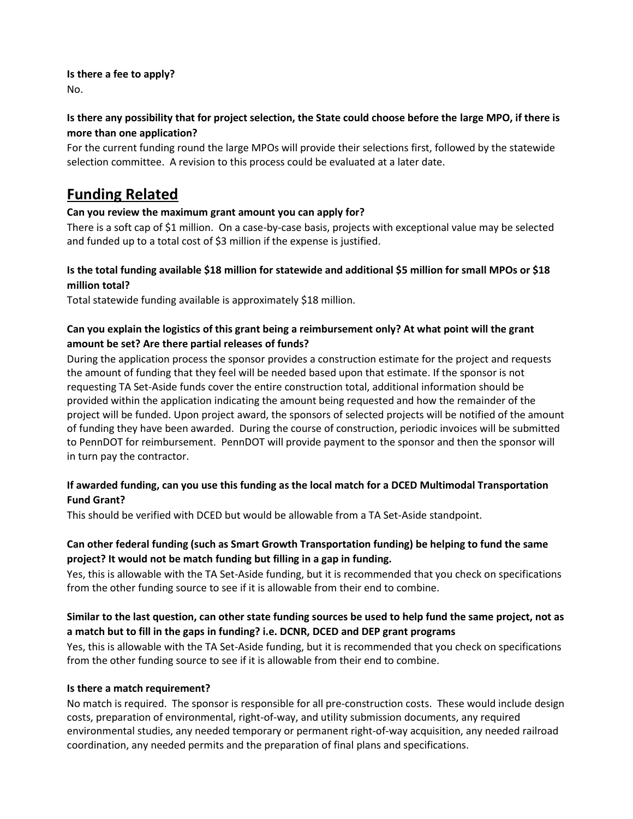#### **Is there a fee to apply?** No.

#### **Is there any possibility that for project selection, the State could choose before the large MPO, if there is more than one application?**

For the current funding round the large MPOs will provide their selections first, followed by the statewide selection committee. A revision to this process could be evaluated at a later date.

### **Funding Related**

#### **Can you review the maximum grant amount you can apply for?**

There is a soft cap of \$1 million. On a case-by-case basis, projects with exceptional value may be selected and funded up to a total cost of \$3 million if the expense is justified.

#### **Is the total funding available \$18 million for statewide and additional \$5 million for small MPOs or \$18 million total?**

Total statewide funding available is approximately \$18 million.

#### **Can you explain the logistics of this grant being a reimbursement only? At what point will the grant amount be set? Are there partial releases of funds?**

During the application process the sponsor provides a construction estimate for the project and requests the amount of funding that they feel will be needed based upon that estimate. If the sponsor is not requesting TA Set-Aside funds cover the entire construction total, additional information should be provided within the application indicating the amount being requested and how the remainder of the project will be funded. Upon project award, the sponsors of selected projects will be notified of the amount of funding they have been awarded. During the course of construction, periodic invoices will be submitted to PennDOT for reimbursement. PennDOT will provide payment to the sponsor and then the sponsor will in turn pay the contractor.

#### **If awarded funding, can you use this funding as the local match for a DCED Multimodal Transportation Fund Grant?**

This should be verified with DCED but would be allowable from a TA Set-Aside standpoint.

#### **Can other federal funding (such as Smart Growth Transportation funding) be helping to fund the same project? It would not be match funding but filling in a gap in funding.**

Yes, this is allowable with the TA Set-Aside funding, but it is recommended that you check on specifications from the other funding source to see if it is allowable from their end to combine.

#### **Similar to the last question, can other state funding sources be used to help fund the same project, not as a match but to fill in the gaps in funding? i.e. DCNR, DCED and DEP grant programs**

Yes, this is allowable with the TA Set-Aside funding, but it is recommended that you check on specifications from the other funding source to see if it is allowable from their end to combine.

#### **Is there a match requirement?**

No match is required. The sponsor is responsible for all pre-construction costs. These would include design costs, preparation of environmental, right-of-way, and utility submission documents, any required environmental studies, any needed temporary or permanent right-of-way acquisition, any needed railroad coordination, any needed permits and the preparation of final plans and specifications.